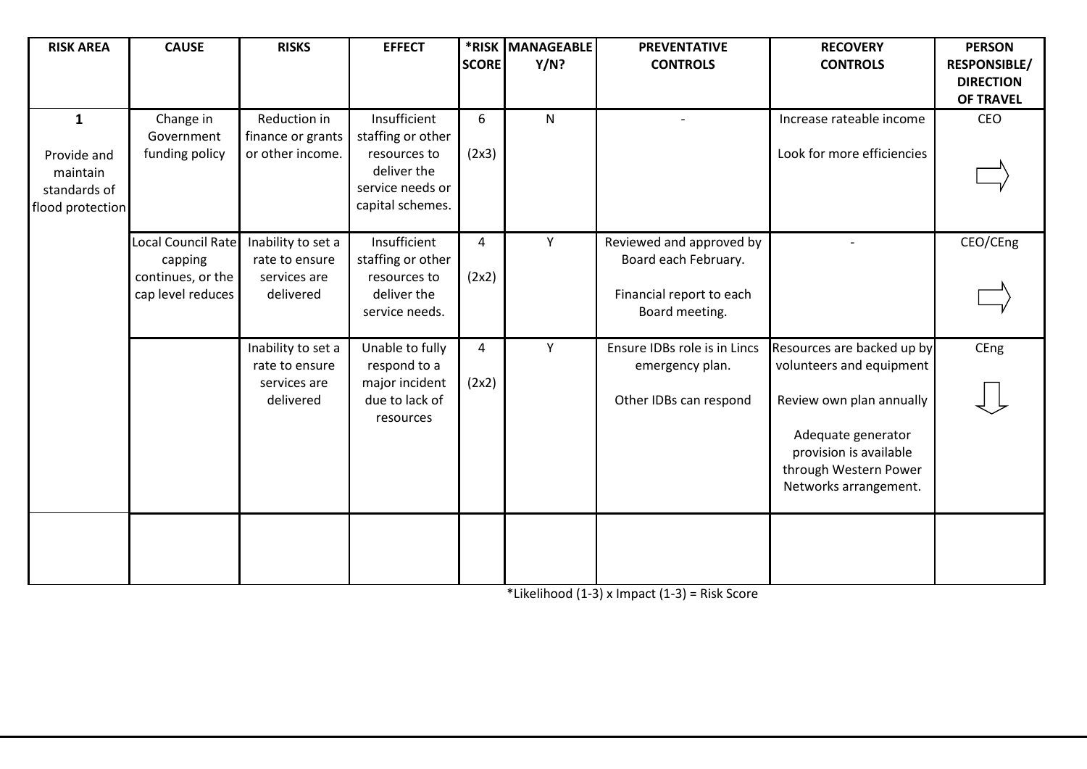| <b>RISK AREA</b>                                                            | <b>CAUSE</b>                                                            | <b>RISKS</b>                                                      | <b>EFFECT</b>                                                                                            | <b>SCORE</b> | *RISK MANAGEABLE<br>Y/N? | <b>PREVENTATIVE</b><br><b>CONTROLS</b>                                                         | <b>RECOVERY</b><br><b>CONTROLS</b>                                                                                                                                                   | <b>PERSON</b><br><b>RESPONSIBLE/</b><br><b>DIRECTION</b><br><b>OF TRAVEL</b> |
|-----------------------------------------------------------------------------|-------------------------------------------------------------------------|-------------------------------------------------------------------|----------------------------------------------------------------------------------------------------------|--------------|--------------------------|------------------------------------------------------------------------------------------------|--------------------------------------------------------------------------------------------------------------------------------------------------------------------------------------|------------------------------------------------------------------------------|
| $\mathbf{1}$<br>Provide and<br>maintain<br>standards of<br>flood protection | Change in<br>Government<br>funding policy                               | Reduction in<br>finance or grants<br>or other income.             | Insufficient<br>staffing or other<br>resources to<br>deliver the<br>service needs or<br>capital schemes. | 6<br>(2x3)   | $\mathsf{N}$             |                                                                                                | Increase rateable income<br>Look for more efficiencies                                                                                                                               | CEO                                                                          |
|                                                                             | Local Council Rate<br>capping<br>continues, or the<br>cap level reduces | Inability to set a<br>rate to ensure<br>services are<br>delivered | Insufficient<br>staffing or other<br>resources to<br>deliver the<br>service needs.                       | 4<br>(2x2)   | Y                        | Reviewed and approved by<br>Board each February.<br>Financial report to each<br>Board meeting. |                                                                                                                                                                                      | CEO/CEng                                                                     |
|                                                                             |                                                                         | Inability to set a<br>rate to ensure<br>services are<br>delivered | Unable to fully<br>respond to a<br>major incident<br>due to lack of<br>resources                         | 4<br>(2x2)   | Y                        | Ensure IDBs role is in Lincs<br>emergency plan.<br>Other IDBs can respond                      | Resources are backed up by<br>volunteers and equipment<br>Review own plan annually<br>Adequate generator<br>provision is available<br>through Western Power<br>Networks arrangement. | CEng                                                                         |
|                                                                             |                                                                         |                                                                   |                                                                                                          |              |                          |                                                                                                |                                                                                                                                                                                      |                                                                              |

\*Likelihood (1-3) x Impact (1-3) = Risk Score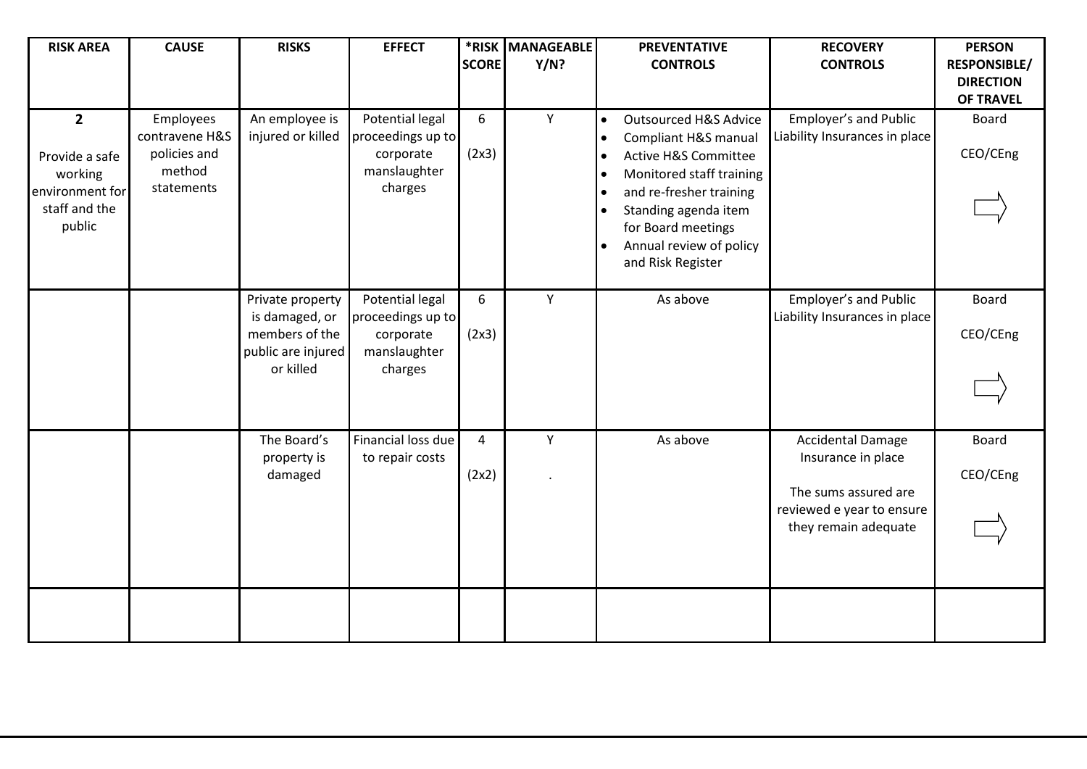| <b>RISK AREA</b>                                                                          | <b>CAUSE</b>                                                        | <b>RISKS</b>                                                                            | <b>EFFECT</b>                                                                | <b>SCORE</b> | *RISK MANAGEABLE<br>Y/N? | <b>PREVENTATIVE</b><br><b>CONTROLS</b>                                                                                                                                                                                                                                                                                                      | <b>RECOVERY</b><br><b>CONTROLS</b>                                                                                          | <b>PERSON</b><br><b>RESPONSIBLE/</b><br><b>DIRECTION</b><br><b>OF TRAVEL</b> |
|-------------------------------------------------------------------------------------------|---------------------------------------------------------------------|-----------------------------------------------------------------------------------------|------------------------------------------------------------------------------|--------------|--------------------------|---------------------------------------------------------------------------------------------------------------------------------------------------------------------------------------------------------------------------------------------------------------------------------------------------------------------------------------------|-----------------------------------------------------------------------------------------------------------------------------|------------------------------------------------------------------------------|
| $\overline{2}$<br>Provide a safe<br>working<br>environment for<br>staff and the<br>public | Employees<br>contravene H&S<br>policies and<br>method<br>statements | An employee is<br>injured or killed                                                     | Potential legal<br>proceedings up to<br>corporate<br>manslaughter<br>charges | 6<br>(2x3)   | Y                        | <b>Outsourced H&amp;S Advice</b><br>$\bullet$<br>Compliant H&S manual<br>$\bullet$<br><b>Active H&amp;S Committee</b><br>$\bullet$<br>Monitored staff training<br>$\bullet$<br>and re-fresher training<br>$\bullet$<br>Standing agenda item<br>$\bullet$<br>for Board meetings<br>Annual review of policy<br>$\bullet$<br>and Risk Register | Employer's and Public<br>Liability Insurances in place                                                                      | <b>Board</b><br>CEO/CEng                                                     |
|                                                                                           |                                                                     | Private property<br>is damaged, or<br>members of the<br>public are injured<br>or killed | Potential legal<br>proceedings up to<br>corporate<br>manslaughter<br>charges | 6<br>(2x3)   | Y                        | As above                                                                                                                                                                                                                                                                                                                                    | Employer's and Public<br>Liability Insurances in place                                                                      | <b>Board</b><br>CEO/CEng                                                     |
|                                                                                           |                                                                     | The Board's<br>property is<br>damaged                                                   | Financial loss due<br>to repair costs                                        | 4<br>(2x2)   | Υ                        | As above                                                                                                                                                                                                                                                                                                                                    | <b>Accidental Damage</b><br>Insurance in place<br>The sums assured are<br>reviewed e year to ensure<br>they remain adequate | <b>Board</b><br>CEO/CEng                                                     |
|                                                                                           |                                                                     |                                                                                         |                                                                              |              |                          |                                                                                                                                                                                                                                                                                                                                             |                                                                                                                             |                                                                              |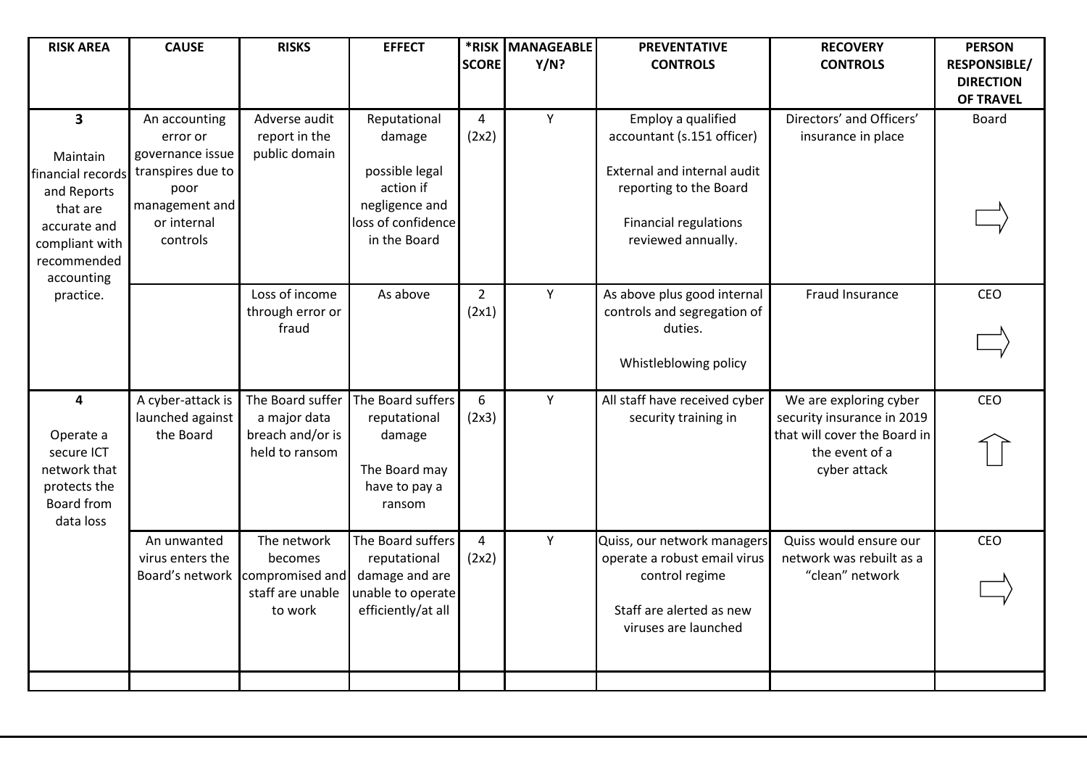| <b>RISK AREA</b>                                                                                                                                   | <b>CAUSE</b>                                                                                                            | <b>RISKS</b>                                                             | <b>EFFECT</b>                                                                                                 | <b>SCORE</b>            | *RISK MANAGEABLE<br>Y/N? | <b>PREVENTATIVE</b><br><b>CONTROLS</b>                                                                                                                          | <b>RECOVERY</b><br><b>CONTROLS</b>                                                                                     | <b>PERSON</b><br><b>RESPONSIBLE/</b><br><b>DIRECTION</b><br><b>OF TRAVEL</b> |
|----------------------------------------------------------------------------------------------------------------------------------------------------|-------------------------------------------------------------------------------------------------------------------------|--------------------------------------------------------------------------|---------------------------------------------------------------------------------------------------------------|-------------------------|--------------------------|-----------------------------------------------------------------------------------------------------------------------------------------------------------------|------------------------------------------------------------------------------------------------------------------------|------------------------------------------------------------------------------|
| $\overline{\mathbf{3}}$<br>Maintain<br>financial records<br>and Reports<br>that are<br>accurate and<br>compliant with<br>recommended<br>accounting | An accounting<br>error or<br>governance issue<br>transpires due to<br>poor<br>management and<br>or internal<br>controls | Adverse audit<br>report in the<br>public domain                          | Reputational<br>damage<br>possible legal<br>action if<br>negligence and<br>loss of confidence<br>in the Board | $\overline{a}$<br>(2x2) | Y                        | Employ a qualified<br>accountant (s.151 officer)<br>External and internal audit<br>reporting to the Board<br><b>Financial regulations</b><br>reviewed annually. | Directors' and Officers'<br>insurance in place                                                                         | <b>Board</b>                                                                 |
| practice.                                                                                                                                          |                                                                                                                         | Loss of income<br>through error or<br>fraud                              | As above                                                                                                      | $\overline{2}$<br>(2x1) | Y                        | As above plus good internal<br>controls and segregation of<br>duties.<br>Whistleblowing policy                                                                  | Fraud Insurance                                                                                                        | CEO                                                                          |
| 4<br>Operate a<br>secure ICT<br>network that<br>protects the<br>Board from<br>data loss                                                            | A cyber-attack is<br>launched against<br>the Board                                                                      | The Board suffer<br>a major data<br>breach and/or is<br>held to ransom   | The Board suffers<br>reputational<br>damage<br>The Board may<br>have to pay a<br>ransom                       | 6<br>(2x3)              | Υ                        | All staff have received cyber<br>security training in                                                                                                           | We are exploring cyber<br>security insurance in 2019<br>that will cover the Board in<br>the event of a<br>cyber attack | CEO                                                                          |
|                                                                                                                                                    | An unwanted<br>virus enters the<br>Board's network                                                                      | The network<br>becomes<br>compromised and<br>staff are unable<br>to work | The Board suffers<br>reputational<br>damage and are<br>unable to operate<br>efficiently/at all                | $\overline{4}$<br>(2x2) | Υ                        | Quiss, our network managers<br>operate a robust email virus<br>control regime<br>Staff are alerted as new<br>viruses are launched                               | Quiss would ensure our<br>network was rebuilt as a<br>"clean" network                                                  | CEO                                                                          |